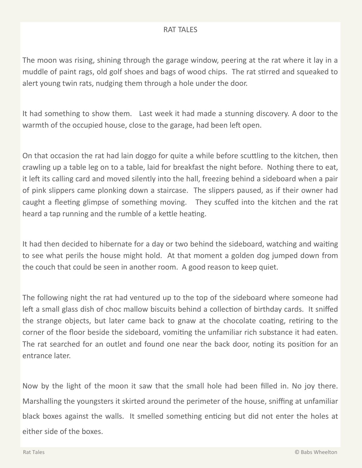## RAT TALES

The moon was rising, shining through the garage window, peering at the rat where it lay in a muddle of paint rags, old golf shoes and bags of wood chips. The rat stirred and squeaked to alert young twin rats, nudging them through a hole under the door.

It had something to show them. Last week it had made a stunning discovery. A door to the warmth of the occupied house, close to the garage, had been left open.

On that occasion the rat had lain doggo for quite a while before scuttling to the kitchen, then crawling up a table leg on to a table, laid for breakfast the night before. Nothing there to eat, it left its calling card and moved silently into the hall, freezing behind a sideboard when a pair of pink slippers came plonking down a staircase. The slippers paused, as if their owner had caught a fleeting glimpse of something moving. They scuffed into the kitchen and the rat heard a tap running and the rumble of a kettle heating.

It had then decided to hibernate for a day or two behind the sideboard, watching and waiting to see what perils the house might hold. At that moment a golden dog jumped down from the couch that could be seen in another room. A good reason to keep quiet.

The following night the rat had ventured up to the top of the sideboard where someone had left a small glass dish of choc mallow biscuits behind a collection of birthday cards. It sniffed the strange objects, but later came back to gnaw at the chocolate coating, retiring to the corner of the floor beside the sideboard, vomiting the unfamiliar rich substance it had eaten. The rat searched for an outlet and found one near the back door, noting its position for an entrance later.

Now by the light of the moon it saw that the small hole had been filled in. No joy there. Marshalling the youngsters it skirted around the perimeter of the house, sniffing at unfamiliar black boxes against the walls. It smelled something enticing but did not enter the holes at either side of the boxes.